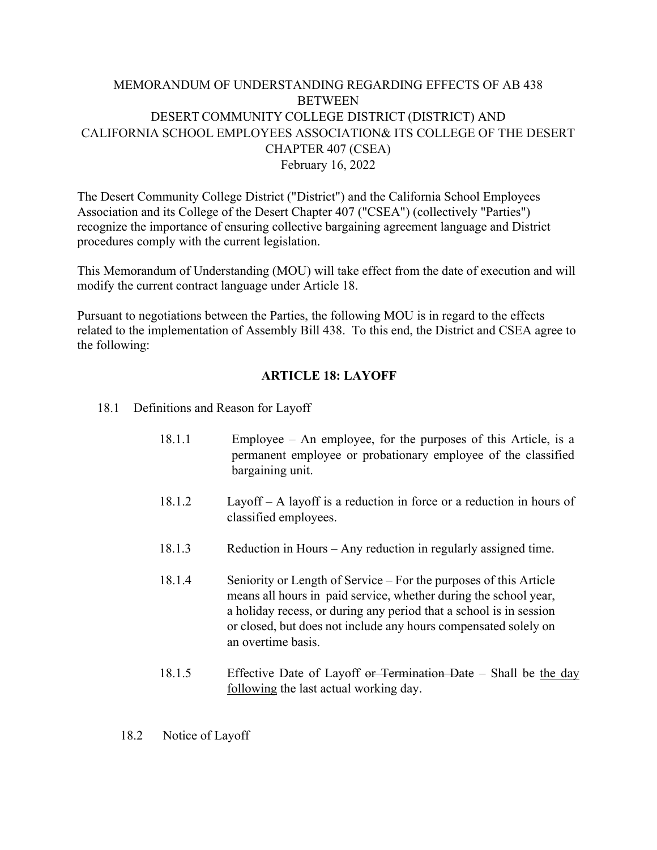### MEMORANDUM OF UNDERSTANDING REGARDING EFFECTS OF AB 438 **BETWEEN** DESERT COMMUNITY COLLEGE DISTRICT (DISTRICT) AND CALIFORNIA SCHOOL EMPLOYEES ASSOCIATION& ITS COLLEGE OF THE DESERT CHAPTER 407 (CSEA) February 16, 2022

The Desert Community College District ("District") and the California School Employees Association and its College of the Desert Chapter 407 ("CSEA") (collectively "Parties") recognize the importance of ensuring collective bargaining agreement language and District procedures comply with the current legislation.

This Memorandum of Understanding (MOU) will take effect from the date of execution and will modify the current contract language under Article 18.

Pursuant to negotiations between the Parties, the following MOU is in regard to the effects related to the implementation of Assembly Bill 438. To this end, the District and CSEA agree to the following:

#### **ARTICLE 18: LAYOFF**

- 18.1 Definitions and Reason for Layoff
	- 18.1.1 Employee An employee, for the purposes of this Article, is a permanent employee or probationary employee of the classified bargaining unit.
	- 18.1.2 Layoff A layoff is a reduction in force or a reduction in hours of classified employees.
	- 18.1.3 Reduction in Hours Any reduction in regularly assigned time.
	- 18.1.4 Seniority or Length of Service For the purposes of this Article means all hours in paid service, whether during the school year, a holiday recess, or during any period that a school is in session or closed, but does not include any hours compensated solely on an overtime basis.
	- 18.1.5 Effective Date of Layoff or Termination Date Shall be the day following the last actual working day.
	- 18.2 Notice of Layoff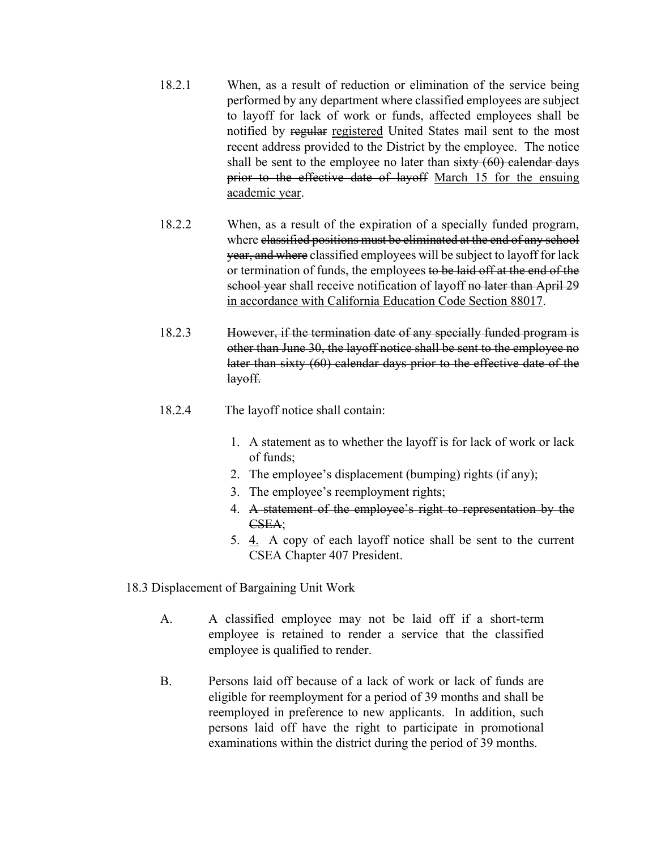- 18.2.1 When, as a result of reduction or elimination of the service being performed by any department where classified employees are subject to layoff for lack of work or funds, affected employees shall be notified by regular registered United States mail sent to the most recent address provided to the District by the employee. The notice shall be sent to the employee no later than  $sixty(60)$  calendar days prior to the effective date of layoff March 15 for the ensuing academic year.
- 18.2.2 When, as a result of the expiration of a specially funded program, where classified positions must be eliminated at the end of any school year, and where classified employees will be subject to layoff for lack or termination of funds, the employees to be laid off at the end of the school year shall receive notification of layoff no later than April 29 in accordance with California Education Code Section 88017.
- 18.2.3 However, if the termination date of any specially funded program is other than June 30, the layoff notice shall be sent to the employee no later than sixty (60) calendar days prior to the effective date of the layoff.
- 18.2.4 The layoff notice shall contain:
	- 1. A statement as to whether the layoff is for lack of work or lack of funds;
	- 2. The employee's displacement (bumping) rights (if any);
	- 3. The employee's reemployment rights;
	- 4. A statement of the employee's right to representation by the CSEA;
	- 5. 4. A copy of each layoff notice shall be sent to the current CSEA Chapter 407 President.
- 18.3 Displacement of Bargaining Unit Work
	- A. A classified employee may not be laid off if a short-term employee is retained to render a service that the classified employee is qualified to render.
	- B. Persons laid off because of a lack of work or lack of funds are eligible for reemployment for a period of 39 months and shall be reemployed in preference to new applicants. In addition, such persons laid off have the right to participate in promotional examinations within the district during the period of 39 months.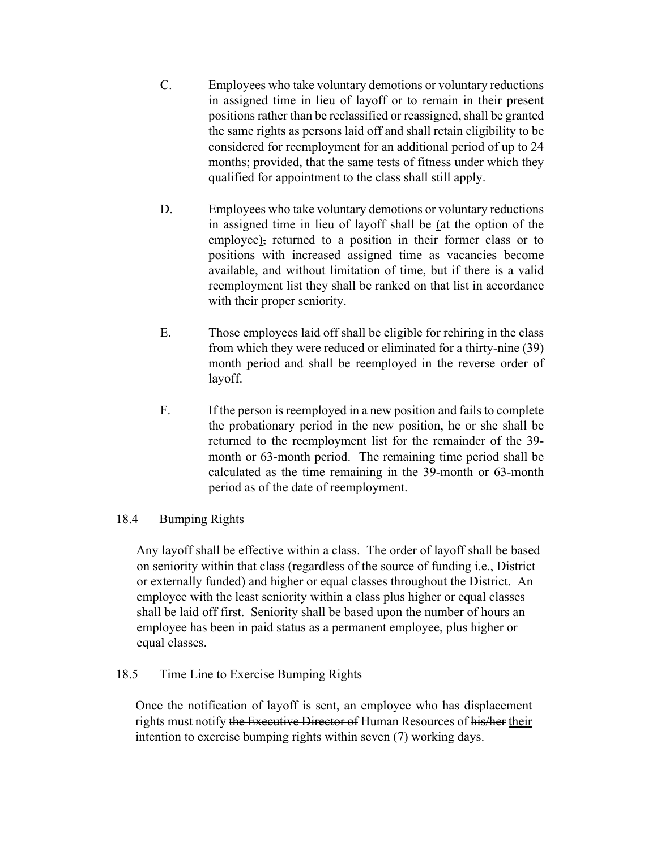- C. Employees who take voluntary demotions or voluntary reductions in assigned time in lieu of layoff or to remain in their present positions rather than be reclassified or reassigned, shall be granted the same rights as persons laid off and shall retain eligibility to be considered for reemployment for an additional period of up to 24 months; provided, that the same tests of fitness under which they qualified for appointment to the class shall still apply.
- D. Employees who take voluntary demotions or voluntary reductions in assigned time in lieu of layoff shall be (at the option of the employee), returned to a position in their former class or to positions with increased assigned time as vacancies become available, and without limitation of time, but if there is a valid reemployment list they shall be ranked on that list in accordance with their proper seniority.
- E. Those employees laid off shall be eligible for rehiring in the class from which they were reduced or eliminated for a thirty-nine (39) month period and shall be reemployed in the reverse order of layoff.
- F. If the person is reemployed in a new position and fails to complete the probationary period in the new position, he or she shall be returned to the reemployment list for the remainder of the 39 month or 63-month period. The remaining time period shall be calculated as the time remaining in the 39-month or 63-month period as of the date of reemployment.

#### 18.4 Bumping Rights

Any layoff shall be effective within a class. The order of layoff shall be based on seniority within that class (regardless of the source of funding i.e., District or externally funded) and higher or equal classes throughout the District. An employee with the least seniority within a class plus higher or equal classes shall be laid off first. Seniority shall be based upon the number of hours an employee has been in paid status as a permanent employee, plus higher or equal classes.

#### 18.5 Time Line to Exercise Bumping Rights

Once the notification of layoff is sent, an employee who has displacement rights must notify the Executive Director of Human Resources of his/her their intention to exercise bumping rights within seven (7) working days.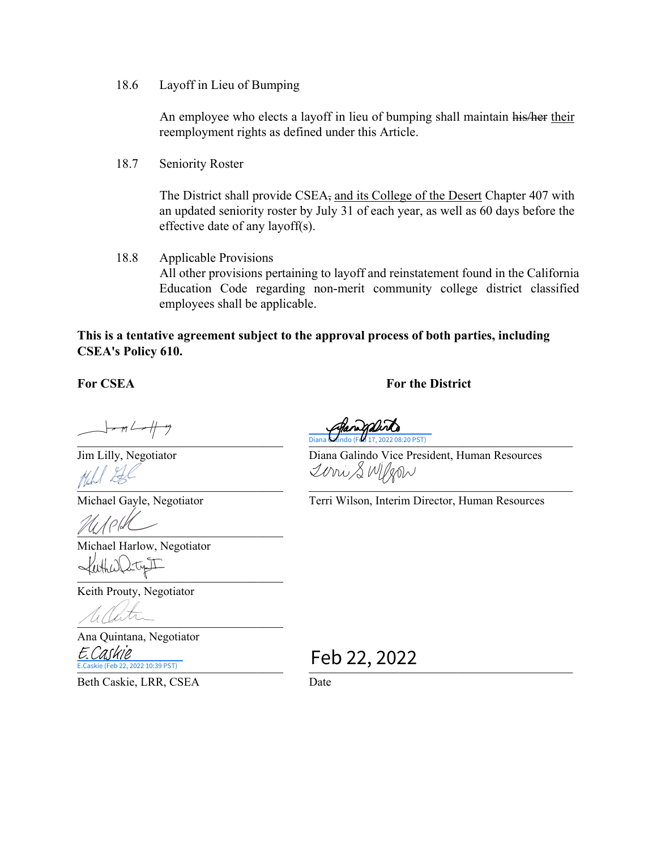18.6 Layoff in Lieu of Bumping

An employee who elects a layoff in lieu of bumping shall maintain his/her their reemployment rights as defined under this Article.

18.7 Seniority Roster

The District shall provide CSEA, and its College of the Desert Chapter 407 with an updated seniority roster by July 31 of each year, as well as 60 days before the effective date of any layoff(s).

18.8 Applicable Provisions All other provisions pertaining to layoff and reinstatement found in the California Education Code regarding non-merit community college district classified employees shall be applicable.

#### **This is a tentative agreement subject to the approval process of both parties, including CSEA's Policy 610.**

#### For CSEA **For the District**

 $-\pi$   $\rightarrow$   $+\pi$ 

 $\frac{1}{2}$ 

 $\mathbb{Z}$ 

Michael Harlow, Negotiator [\\_\\_\\_\\_\\_\\_\\_\\_\\_\\_\\_\\_\\_\\_\\_\\_\\_\\_\\_\\_\\_\\_\\_\\_\\_\\_\\_\\_\\_\\_\\_\\_](https://na1.documents.adobe.com/verifier?tx=CBJCHBCAABAAGMkEogFFeq2qp59NDHLR_RsfRHnbibu7)

Keith Prouty, Negotiator

 $UUUUV$ 

Ana Quintana, Negotiator **E**.Caskie (Feb 22, 2022 10:39 PST) E.Caskie Feb 22, 2022

Beth Caskie, LRR, CSEA Date

Zorri SWIRON

 $\blacksquare$   $\blacksquare$   $\blacksquare$   $\blacksquare$   $\blacksquare$   $\blacksquare$   $\blacksquare$   $\blacksquare$   $\blacksquare$   $\blacksquare$   $\blacksquare$   $\blacksquare$   $\blacksquare$   $\blacksquare$   $\blacksquare$   $\blacksquare$   $\blacksquare$   $\blacksquare$   $\blacksquare$   $\blacksquare$   $\blacksquare$   $\blacksquare$   $\blacksquare$   $\blacksquare$   $\blacksquare$   $\blacksquare$   $\blacksquare$   $\blacksquare$   $\blacksquare$   $\blacksquare$   $\blacksquare$   $\blacks$ Jim Lilly, Negotiator Diana Galindo Vice President, Human Resources Diana Galindo (Feb 17, 2022 08:20 PST)

Michael Gayle, Negotiator Terri Wilson, Interim Director, Human Resources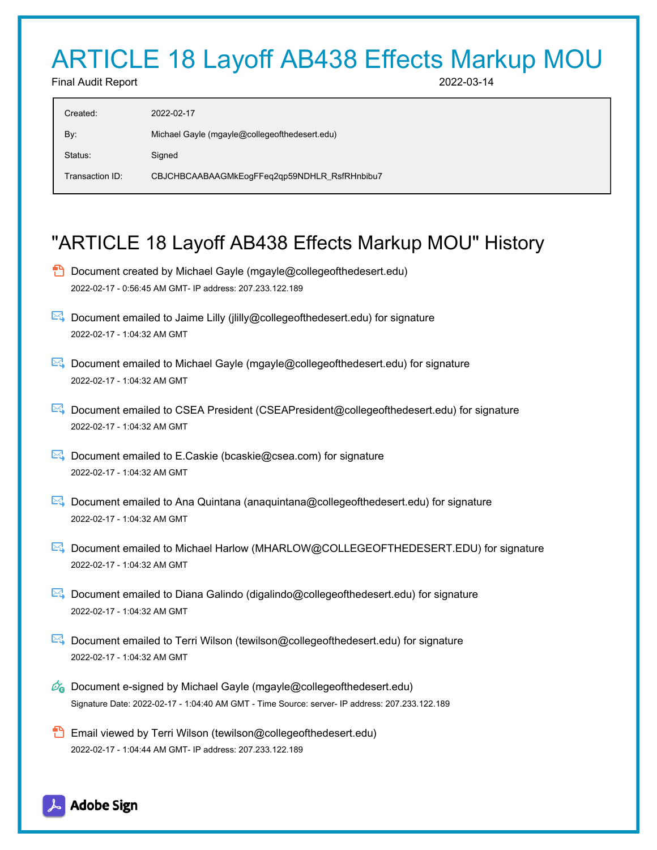# ARTICLE 18 Layoff AB438 Effects Markup MOU

Final Audit Report 2022-03-14

| Created:        | 2022-02-17                                    |
|-----------------|-----------------------------------------------|
| By:             | Michael Gayle (mgayle@collegeofthedesert.edu) |
| Status:         | Signed                                        |
| Transaction ID: | CBJCHBCAABAAGMkEogFFeq2qp59NDHLR_RsfRHnbibu7  |
|                 |                                               |

# "ARTICLE 18 Layoff AB438 Effects Markup MOU" History

- **D** Document created by Michael Gayle (mgayle@collegeofthedesert.edu) 2022-02-17 - 0:56:45 AM GMT- IP address: 207.233.122.189
- $\triangleright$  Document emailed to Jaime Lilly (jiilly@collegeofthedesert.edu) for signature 2022-02-17 - 1:04:32 AM GMT
- **E** Document emailed to Michael Gayle (mgayle@collegeofthedesert.edu) for signature 2022-02-17 - 1:04:32 AM GMT
- Document emailed to CSEA President (CSEAPresident@collegeofthedesert.edu) for signature 2022-02-17 - 1:04:32 AM GMT
- $\mathbb{R}$  Document emailed to E.Caskie (bcaskie@csea.com) for signature 2022-02-17 - 1:04:32 AM GMT
- Document emailed to Ana Quintana (anaquintana@collegeofthedesert.edu) for signature 2022-02-17 - 1:04:32 AM GMT
- Document emailed to Michael Harlow (MHARLOW@COLLEGEOFTHEDESERT.EDU) for signature 2022-02-17 - 1:04:32 AM GMT
- Document emailed to Diana Galindo (digalindo@collegeofthedesert.edu) for signature 2022-02-17 - 1:04:32 AM GMT
- Document emailed to Terri Wilson (tewilson@collegeofthedesert.edu) for signature 2022-02-17 - 1:04:32 AM GMT
- $\mathscr{O}_0$  Document e-signed by Michael Gayle (mgayle@collegeofthedesert.edu) Signature Date: 2022-02-17 - 1:04:40 AM GMT - Time Source: server- IP address: 207.233.122.189
- **Email viewed by Terri Wilson (tewilson@collegeofthedesert.edu)** 2022-02-17 - 1:04:44 AM GMT- IP address: 207.233.122.189

## **Adobe Sign**